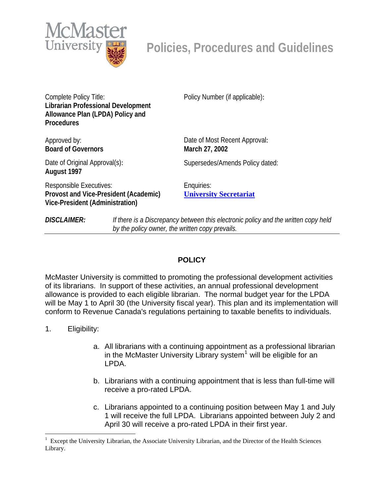

Complete Policy Title: **Librarian Professional Development Allowance Plan (LPDA) Policy and Procedures** 

Approved by: **Board of Governors**  Policy Number (if applicable):

Date of Most Recent Approval: **March 27, 2002** 

Date of Original Approval(s): **August 1997** 

Supersedes/Amends Policy dated:

Responsible Executives: **Provost and Vice-President (Academic) Vice-President (Administration)** 

Enquiries: **[University Secretariat](mailto:policy@mcmaster.ca?subject=%20Inquiry)**

*DISCLAIMER: If there is a Discrepancy between this electronic policy and the written copy held by the policy owner, the written copy prevails.*

# **POLICY**

McMaster University is committed to promoting the professional development activities of its librarians. In support of these activities, an annual professional development allowance is provided to each eligible librarian. The normal budget year for the LPDA will be May 1 to April 30 (the University fiscal year). This plan and its implementation will conform to Revenue Canada's regulations pertaining to taxable benefits to individuals.

1. Eligibility:

 $\overline{a}$ 

- a. All librarians with a continuing appointment as a professional librarian in the McMaster University Library system $<sup>1</sup>$  $<sup>1</sup>$  $<sup>1</sup>$  will be eligible for an</sup> LPDA.
- b. Librarians with a continuing appointment that is less than full-time will receive a pro-rated LPDA.
- c. Librarians appointed to a continuing position between May 1 and July 1 will receive the full LPDA. Librarians appointed between July 2 and April 30 will receive a pro-rated LPDA in their first year.

<span id="page-0-0"></span><sup>1</sup> Except the University Librarian, the Associate University Librarian, and the Director of the Health Sciences Library.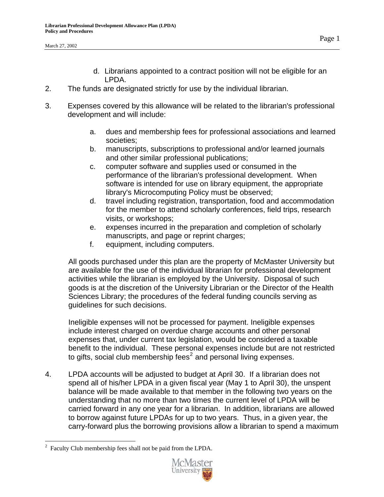- d. Librarians appointed to a contract position will not be eligible for an LPDA.
- 2. The funds are designated strictly for use by the individual librarian.
- 3. Expenses covered by this allowance will be related to the librarian's professional development and will include:
	- a. dues and membership fees for professional associations and learned societies;
	- b. manuscripts, subscriptions to professional and/or learned journals and other similar professional publications;
	- c. computer software and supplies used or consumed in the performance of the librarian's professional development. When software is intended for use on library equipment, the appropriate library's Microcomputing Policy must be observed;
	- d. travel including registration, transportation, food and accommodation for the member to attend scholarly conferences, field trips, research visits, or workshops;
	- e. expenses incurred in the preparation and completion of scholarly manuscripts, and page or reprint charges;
	- f. equipment, including computers.

All goods purchased under this plan are the property of McMaster University but are available for the use of the individual librarian for professional development activities while the librarian is employed by the University. Disposal of such goods is at the discretion of the University Librarian or the Director of the Health Sciences Library; the procedures of the federal funding councils serving as guidelines for such decisions.

Ineligible expenses will not be processed for payment. Ineligible expenses include interest charged on overdue charge accounts and other personal expenses that, under current tax legislation, would be considered a taxable benefit to the individual. These personal expenses include but are not restricted to gifts, social club membership fees<sup>[2](#page-1-0)</sup> and personal living expenses.

4. LPDA accounts will be adjusted to budget at April 30. If a librarian does not spend all of his/her LPDA in a given fiscal year (May 1 to April 30), the unspent balance will be made available to that member in the following two years on the understanding that no more than two times the current level of LPDA will be carried forward in any one year for a librarian. In addition, librarians are allowed to borrow against future LPDAs for up to two years. Thus, in a given year, the carry-forward plus the borrowing provisions allow a librarian to spend a maximum

 $\overline{a}$ 



<span id="page-1-0"></span> $2^2$  Faculty Club membership fees shall not be paid from the LPDA.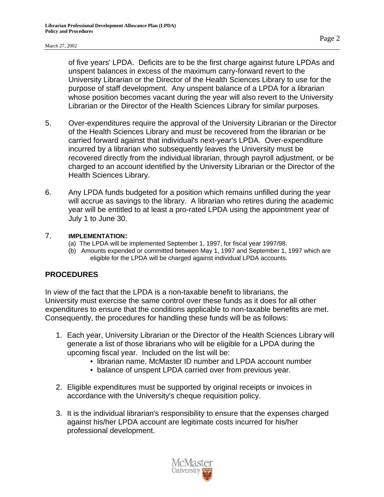of five years' LPDA. Deficits are to be the first charge against future LPDAs and unspent balances in excess of the maximum carry-forward revert to the University Librarian or the Director of the Health Sciences Library to use for the purpose of staff development. Any unspent balance of a LPDA for a librarian whose position becomes vacant during the year will also revert to the University Librarian or the Director of the Health Sciences Library for similar purposes.

- 5. Over-expenditures require the approval of the University Librarian or the Director of the Health Sciences Library and must be recovered from the librarian or be carried forward against that individual's next-year's LPDA. Over-expenditure incurred by a librarian who subsequently leaves the University must be recovered directly from the individual librarian, through payroll adjustment, or be charged to an account identified by the University Librarian or the Director of the Health Sciences Library.
- 6. Any LPDA funds budgeted for a position which remains unfilled during the year will accrue as savings to the library. A librarian who retires during the academic year will be entitled to at least a pro-rated LPDA using the appointment year of July 1 to June 30.

#### 7. **IMPLEMENTATION:**

- (a) The LPDA will be implemented September 1, 1997, for fiscal year 1997/98.
- (b) Amounts expended or committed between May 1, 1997 and September 1, 1997 which are eligible for the LPDA will be charged against individual LPDA accounts.

### **PROCEDURES**

In view of the fact that the LPDA is a non-taxable benefit to librarians, the University must exercise the same control over these funds as it does for all other expenditures to ensure that the conditions applicable to non-taxable benefits are met. Consequently, the procedures for handling these funds will be as follows:

- 1. Each year, University Librarian or the Director of the Health Sciences Library will generate a list of those librarians who will be eligible for a LPDA during the upcoming fiscal year. Included on the list will be:
	- librarian name, McMaster ID number and LPDA account number
	- balance of unspent LPDA carried over from previous year.
- 2. Eligible expenditures must be supported by original receipts or invoices in accordance with the University's cheque requisition policy.
- 3. It is the individual librarian's responsibility to ensure that the expenses charged against his/her LPDA account are legitimate costs incurred for his/her professional development.

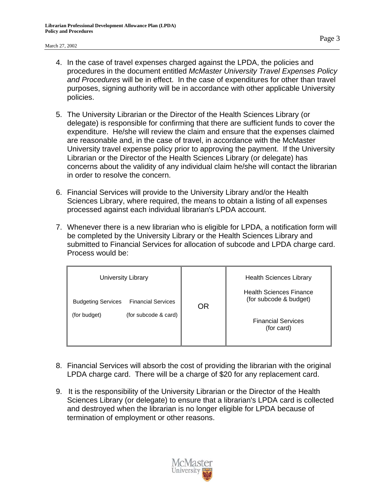#### March 27, 2002

- 4. In the case of travel expenses charged against the LPDA, the policies and procedures in the document entitled *McMaster University Travel Expenses Policy and Procedures* will be in effect. In the case of expenditures for other than travel purposes, signing authority will be in accordance with other applicable University policies.
- 5. The University Librarian or the Director of the Health Sciences Library (or delegate) is responsible for confirming that there are sufficient funds to cover the expenditure. He/she will review the claim and ensure that the expenses claimed are reasonable and, in the case of travel, in accordance with the McMaster University travel expense policy prior to approving the payment. If the University Librarian or the Director of the Health Sciences Library (or delegate) has concerns about the validity of any individual claim he/she will contact the librarian in order to resolve the concern.
- 6. Financial Services will provide to the University Library and/or the Health Sciences Library, where required, the means to obtain a listing of all expenses processed against each individual librarian's LPDA account.
- 7. Whenever there is a new librarian who is eligible for LPDA, a notification form will be completed by the University Library or the Health Sciences Library and submitted to Financial Services for allocation of subcode and LPDA charge card. Process would be:

|  | University Library                                                                             | <b>OR</b><br><b>Financial Services</b><br>(for card) | <b>Health Sciences Library</b><br><b>Health Sciences Finance</b> |
|--|------------------------------------------------------------------------------------------------|------------------------------------------------------|------------------------------------------------------------------|
|  | <b>Financial Services</b><br><b>Budgeting Services</b><br>(for subcode & card)<br>(for budget) |                                                      | (for subcode & budget)                                           |
|  |                                                                                                |                                                      |                                                                  |

- 8. Financial Services will absorb the cost of providing the librarian with the original LPDA charge card. There will be a charge of \$20 for any replacement card.
- 9. It is the responsibility of the University Librarian or the Director of the Health Sciences Library (or delegate) to ensure that a librarian's LPDA card is collected and destroyed when the librarian is no longer eligible for LPDA because of termination of employment or other reasons.